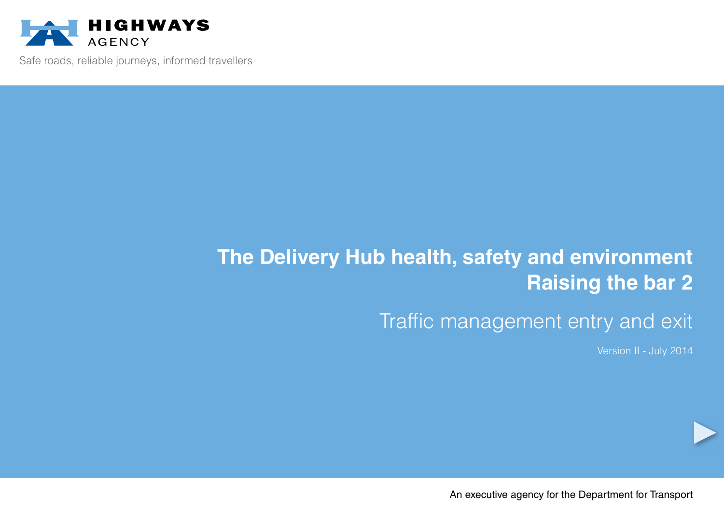

Safe roads, reliable journeys, informed travellers

# **The Delivery Hub health, safety and environment Raising the bar 2**

## Traffic management entry and exit

Version II - July 2014

An executive agency for the Department for Transport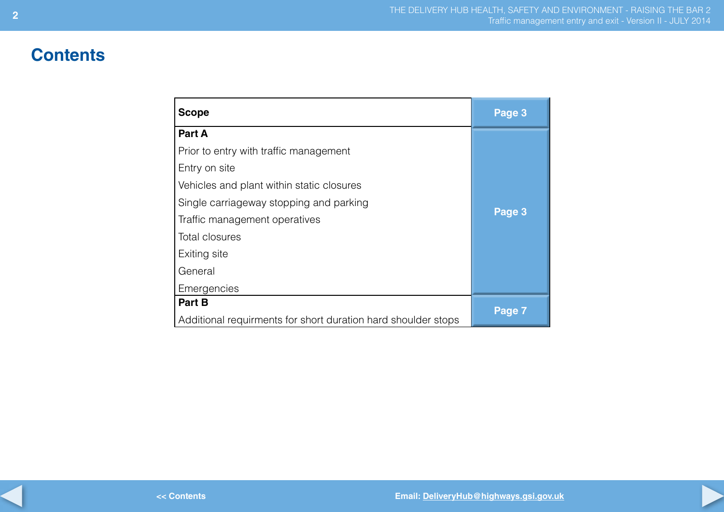## **Contents**

| <b>Scope</b>                                                  | Page 3 |
|---------------------------------------------------------------|--------|
| Part A                                                        |        |
| Prior to entry with traffic management                        |        |
| Entry on site                                                 |        |
| Vehicles and plant within static closures                     |        |
| Single carriageway stopping and parking                       |        |
| Traffic management operatives                                 | Page 3 |
| <b>Total closures</b>                                         |        |
| Exiting site                                                  |        |
|                                                               |        |
| Emergencies                                                   |        |
|                                                               |        |
| Additional requirments for short duration hard shoulder stops |        |
| General<br>Part B                                             | Page 7 |
|                                                               |        |
|                                                               |        |
|                                                               |        |
|                                                               |        |
|                                                               |        |
|                                                               |        |
|                                                               |        |
| Email: DeliveryHub@highways.gsi.go<br><< Contents             |        |

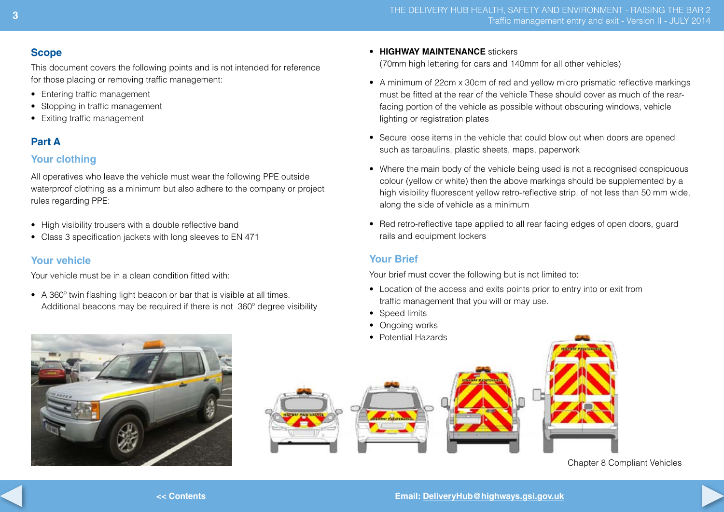## **Scope**

This document covers the following points and is not intended for reference for those placing or removing traffic management:

- Entering traffic management
- Stopping in traffic management
- • Exiting traffic management

## **Part A**

## **Your clothing**

All operatives who leave the vehicle must wear the following PPE outside waterproof clothing as a minimum but also adhere to the company or project rules regarding PPE:

- High visibility trousers with a double reflective band
- Class 3 specification jackets with long sleeves to EN 471

## **Your vehicle**

Your vehicle must be in a clean condition fitted with:

• A 360<sup>°</sup> twin flashing light beacon or bar that is visible at all times. Additional beacons may be required if there is not 360º degree visibility

#### • **HIGHWAY MAINTENANCE** stickers

 (70mm high lettering for cars and 140mm for all other vehicles)

- A minimum of 22cm x 30cm of red and yellow micro prismatic reflective markings must be fitted at the rear of the vehicle These should cover as much of the rearfacing portion of the vehicle as possible without obscuring windows, vehicle lighting or registration plates
- Secure loose items in the vehicle that could blow out when doors are opened such as tarpaulins, plastic sheets, maps, paperwork
- Where the main body of the vehicle being used is not a recognised conspicuous colour (yellow or white) then the above markings should be supplemented by a high visibility fluorescent yellow retro-reflective strip, of not less than 50 mm wide, along the side of vehicle as a minimum
- Red retro-reflective tape applied to all rear facing edges of open doors, guard rails and equipment lockers

## **Your Brief**

Your brief must cover the following but is not limited to:

- Location of the access and exits points prior to entry into or exit from traffic management that you will or may use.
- Speed limits
- Ongoing works
- • Potential Hazards



### Chapter 8 Compliant Vehicles



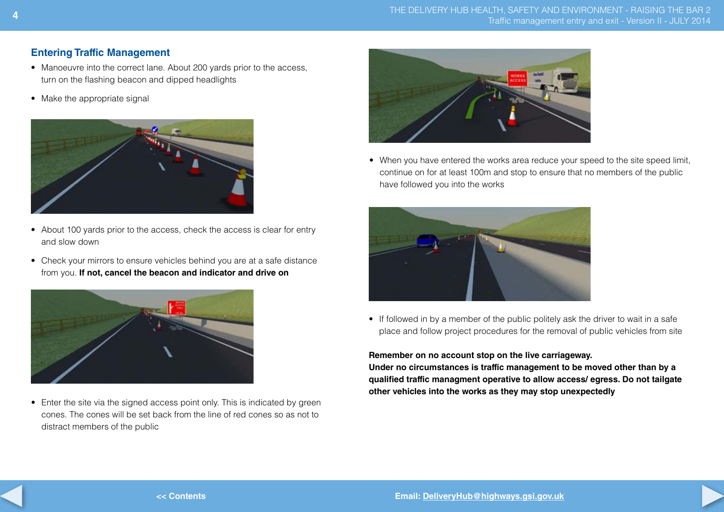## **Entering Traffic Management**

- Manoeuvre into the correct lane. About 200 yards prior to the access, turn on the flashing beacon and dipped headlights
- Make the appropriate signal



- About 100 yards prior to the access, check the access is clear for entry and slow down
- Check your mirrors to ensure vehicles behind you are at a safe distance from you. **If not, cancel the beacon and indicator and drive on**



• Enter the site via the signed access point only. This is indicated by green cones. The cones will be set back from the line of red cones so as not to distract members of the public



• When you have entered the works area reduce your speed to the site speed limit, continue on for at least 100m and stop to ensure that no members of the public have followed you into the works



• If followed in by a member of the public politely ask the driver to wait in a safe place and follow project procedures for the removal of public vehicles from site

#### **Remember on no account stop on the live carriageway.**

**Under no circumstances is traffic management to be moved other than by a qualified traffic managment operative to allow access/ egress. Do not tailgate other vehicles into the works as they may stop unexpectedly**



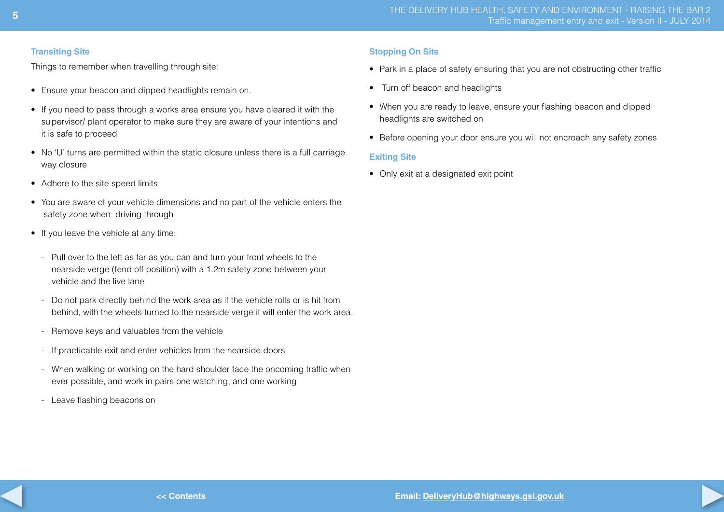#### **Transiting Site**

Things to remember when travelling through site:

- Ensure your beacon and dipped headlights remain on.
- If you need to pass through a works area ensure you have cleared it with the supervisor/ plant operator to make sure they are aware of your intentions and it is safe to proceed
- No 'U' turns are permitted within the static closure unless there is a full carriage way closure
- Adhere to the site speed limits
- You are aware of your vehicle dimensions and no part of the vehicle enters the safety zone when driving through
- If you leave the vehicle at any time:
	- Pull over to the left as far as you can and turn your front wheels to the nearside verge (fend off position) with a 1.2m safety zone between your vehicle and the live lane
	- Do not park directly behind the work area as if the vehicle rolls or is hit from behind, with the wheels turned to the nearside verge it will enter the work area.
	- Remove keys and valuables from the vehicle
	- If practicable exit and enter vehicles from the nearside doors
	- When walking or working on the hard shoulder face the oncoming traffic when ever possible, and work in pairs one watching, and one working
	- Leave flashing beacons on

#### **Stopping On Site**

- Park in a place of safety ensuring that you are not obstructing other traffic
- Turn off beacon and headlights
- When you are ready to leave, ensure your flashing beacon and dipped headlights are switched on
- Before opening your door ensure you will not encroach any safety zones

#### **Exiting Site**

• Only exit at a designated exit point

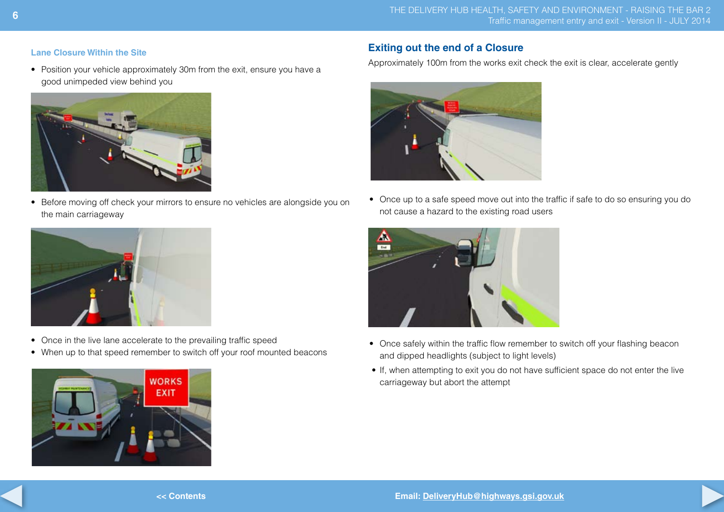#### **Lane Closure Within the Site**

• Position your vehicle approximately 30m from the exit, ensure you have a good unimpeded view behind you



• Before moving off check your mirrors to ensure no vehicles are alongside you on the main carriageway



Approximately 100m from the works exit check the exit is clear, accelerate gently



• Once up to a safe speed move out into the traffic if safe to do so ensuring you do not cause a hazard to the existing road users



- Once safely within the traffic flow remember to switch off your flashing beacon and dipped headlights (subject to light levels)
- If, when attempting to exit you do not have sufficient space do not enter the live carriageway but abort the attempt

![](_page_5_Picture_12.jpeg)

- Once in the live lane accelerate to the prevailing traffic speed
- When up to that speed remember to switch off your roof mounted beacons

![](_page_5_Picture_15.jpeg)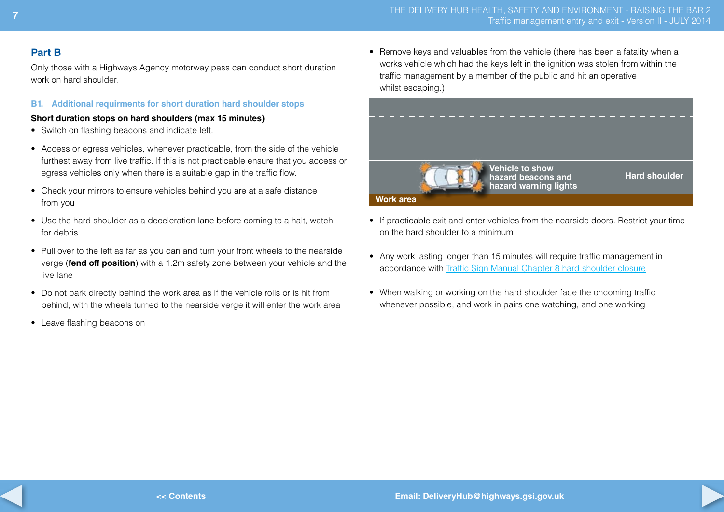### **Part B**

Only those with a Highways Agency motorway pass can conduct short duration work on hard shoulder.

#### **B1. Additional requirments for short duration hard shoulder stops**

#### **Short duration stops on hard shoulders (max 15 minutes)**

- Switch on flashing beacons and indicate left.
- Access or egress vehicles, whenever practicable, from the side of the vehicle furthest away from live traffic. If this is not practicable ensure that you access or egress vehicles only when there is a suitable gap in the traffic flow.
- Check your mirrors to ensure vehicles behind you are at a safe distance from you
- Use the hard shoulder as a deceleration lane before coming to a halt, watch for debris
- Pull over to the left as far as you can and turn your front wheels to the nearside verge (**fend off position**) with a 1.2m safety zone between your vehicle and the live lane
- Do not park directly behind the work area as if the vehicle rolls or is hit from behind, with the wheels turned to the nearside verge it will enter the work area
- Leave flashing beacons on

• Remove keys and valuables from the vehicle (there has been a fatality when a works vehicle which had the keys left in the ignition was stolen from within the traffic management by a member of the public and hit an operative whilst escaping.)

![](_page_6_Picture_13.jpeg)

- If practicable exit and enter vehicles from the nearside doors. Restrict your time on the hard shoulder to a minimum
- Any work lasting longer than 15 minutes will require traffic management in accordance with Traffic Sign Manual Chapter 8 hard [shoulder](https://www.gov.uk/government/publications/traffic-signs-manual) closure
- When walking or working on the hard shoulder face the oncoming traffic whenever possible, and work in pairs one watching, and one working

![](_page_6_Picture_21.jpeg)